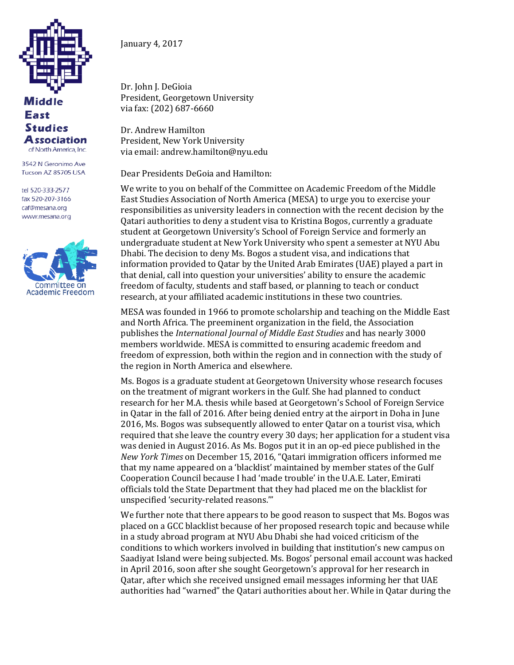

Middle **East Studies Association** of North America, Inc.

3542 N Geronimo Ave Tucson AZ 85705 USA

tel 520-333-2577 fax 520-207-3166 caf@mesana.org www.mesana.org



January 4, 2017

Dr. John J. DeGioia President, Georgetown University via fax: (202) 687-6660

Dr. Andrew Hamilton President, New York University via email: andrew.hamilton@nyu.edu

Dear Presidents DeGoia and Hamilton:

We write to you on behalf of the Committee on Academic Freedom of the Middle East Studies Association of North America (MESA) to urge you to exercise your responsibilities as university leaders in connection with the recent decision by the Qatari authorities to deny a student visa to Kristina Bogos, currently a graduate student at Georgetown University's School of Foreign Service and formerly an undergraduate student at New York University who spent a semester at NYU Abu Dhabi. The decision to deny Ms. Bogos a student visa, and indications that information provided to Qatar by the United Arab Emirates (UAE) played a part in that denial, call into question your universities' ability to ensure the academic freedom of faculty, students and staff based, or planning to teach or conduct research, at your affiliated academic institutions in these two countries.

MESA was founded in 1966 to promote scholarship and teaching on the Middle East and North Africa. The preeminent organization in the field, the Association publishes the *International Journal of Middle East Studies* and has nearly 3000 members worldwide. MESA is committed to ensuring academic freedom and freedom of expression, both within the region and in connection with the study of the region in North America and elsewhere.

Ms. Bogos is a graduate student at Georgetown University whose research focuses on the treatment of migrant workers in the Gulf. She had planned to conduct research for her M.A. thesis while based at Georgetown's School of Foreign Service in Qatar in the fall of 2016. After being denied entry at the airport in Doha in June 2016, Ms. Bogos was subsequently allowed to enter Qatar on a tourist visa, which required that she leave the country every 30 days; her application for a student visa was denied in August 2016. As Ms. Bogos put it in an op-ed piece published in the *New York Times* on December 15, 2016, "Qatari immigration officers informed me that my name appeared on a 'blacklist' maintained by member states of the Gulf Cooperation Council because I had 'made trouble' in the U.A.E. Later, Emirati officials told the State Department that they had placed me on the blacklist for unspecified 'security-related reasons.'"

We further note that there appears to be good reason to suspect that Ms. Bogos was placed on a GCC blacklist because of her proposed research topic and because while in a study abroad program at NYU Abu Dhabi she had voiced criticism of the conditions to which workers involved in building that institution's new campus on Saadiyat Island were being subjected. Ms. Bogos' personal email account was hacked in April 2016, soon after she sought Georgetown's approval for her research in Qatar, after which she received unsigned email messages informing her that UAE authorities had "warned" the Qatari authorities about her. While in Qatar during the